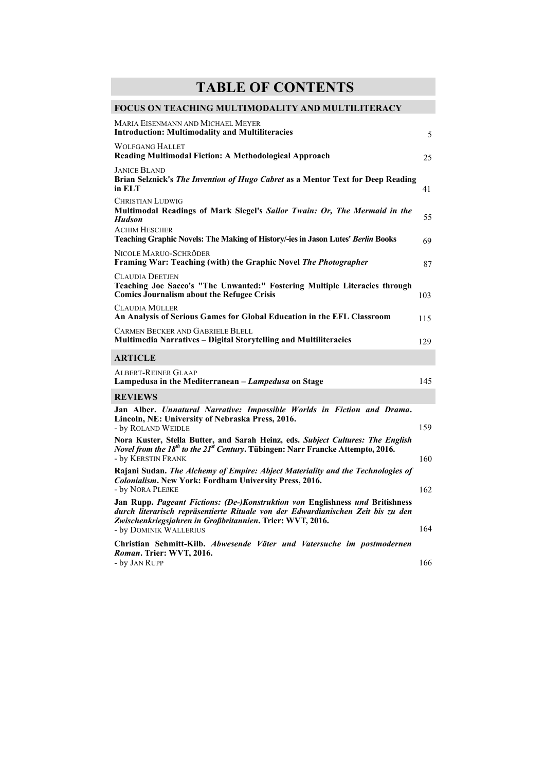## **TABLE OF CONTENTS**

## **FOCUS ON TEACHING MULTIMODALITY AND MULTILITERACY**

| <b>MARIA EISENMANN AND MICHAEL MEYER</b><br><b>Introduction: Multimodality and Multiliteracies</b>                                                                                                                                                       | 5   |
|----------------------------------------------------------------------------------------------------------------------------------------------------------------------------------------------------------------------------------------------------------|-----|
| <b>WOLFGANG HALLET</b><br>Reading Multimodal Fiction: A Methodological Approach                                                                                                                                                                          | 25  |
| <b>JANICE BLAND</b><br>Brian Selznick's The Invention of Hugo Cabret as a Mentor Text for Deep Reading<br>in ELT                                                                                                                                         | 41  |
| <b>CHRISTIAN LUDWIG</b><br>Multimodal Readings of Mark Siegel's Sailor Twain: Or, The Mermaid in the<br><b>Hudson</b>                                                                                                                                    | 55  |
| <b>ACHIM HESCHER</b><br>Teaching Graphic Novels: The Making of History/-ies in Jason Lutes' Berlin Books                                                                                                                                                 | 69  |
| NICOLE MARUO-SCHRÖDER<br>Framing War: Teaching (with) the Graphic Novel The Photographer                                                                                                                                                                 | 87  |
| <b>CLAUDIA DEETJEN</b><br>Teaching Joe Sacco's "The Unwanted:" Fostering Multiple Literacies through<br><b>Comics Journalism about the Refugee Crisis</b>                                                                                                | 103 |
| CLAUDIA MÜLLER<br>An Analysis of Serious Games for Global Education in the EFL Classroom                                                                                                                                                                 | 115 |
| <b>CARMEN BECKER AND GABRIELE BLELL</b><br><b>Multimedia Narratives - Digital Storytelling and Multiliteracies</b>                                                                                                                                       | 129 |
| <b>ARTICLE</b>                                                                                                                                                                                                                                           |     |
| ALBERT-REINER GLAAP<br>Lampedusa in the Mediterranean - Lampedusa on Stage                                                                                                                                                                               | 145 |
| <b>REVIEWS</b>                                                                                                                                                                                                                                           |     |
| Jan Alber. Unnatural Narrative: Impossible Worlds in Fiction and Drama.<br>Lincoln, NE: University of Nebraska Press, 2016.<br>- by ROLAND WEIDLE                                                                                                        | 159 |
| Nora Kuster, Stella Butter, and Sarah Heinz, eds. Subject Cultures: The English<br>Novel from the 18 <sup>th</sup> to the 21 <sup>st</sup> Century. Tübingen: Narr Francke Attempto, 2016.<br>- by KERSTIN FRANK                                         | 160 |
| Rajani Sudan. The Alchemy of Empire: Abject Materiality and the Technologies of<br><b>Colonialism.</b> New York: Fordham University Press, 2016.<br>- by NORA PLEBKE                                                                                     | 162 |
| Jan Rupp. Pageant Fictions: (De-)Konstruktion von Englishness und Britishness<br>durch literarisch repräsentierte Rituale von der Edwardianischen Zeit bis zu den<br>Zwischenkriegsjahren in Großbritannien. Trier: WVT, 2016.<br>- by DOMINIK WALLERIUS | 164 |
| Christian Schmitt-Kilb. Abwesende Väter und Vatersuche im postmodernen<br>Roman. Trier: WVT, 2016.<br>- by JAN RUPP                                                                                                                                      | 166 |